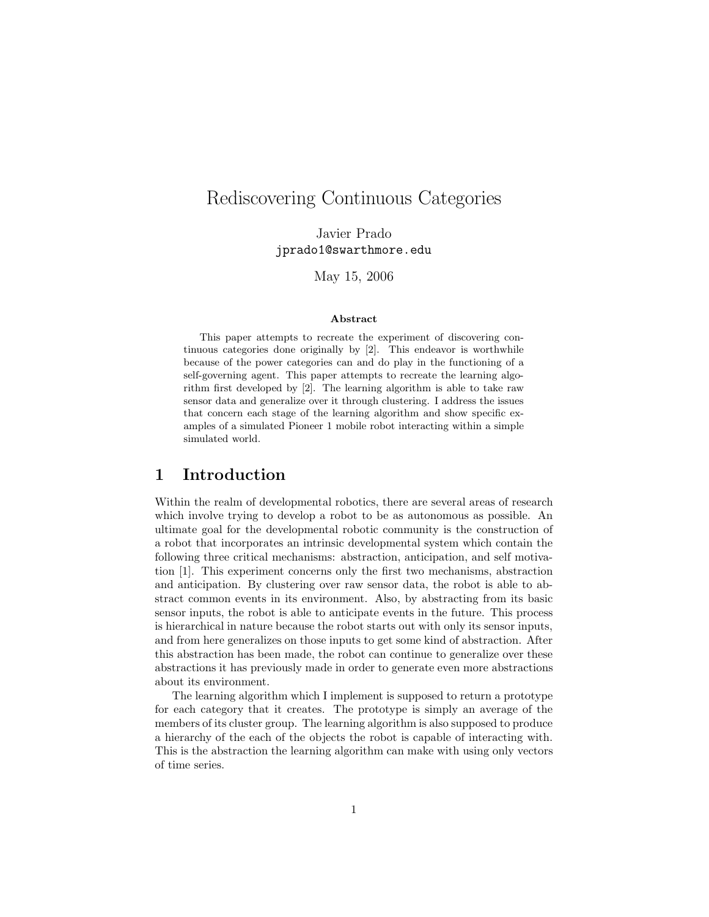# Rediscovering Continuous Categories

Javier Prado jprado1@swarthmore.edu

May 15, 2006

#### Abstract

This paper attempts to recreate the experiment of discovering continuous categories done originally by [2]. This endeavor is worthwhile because of the power categories can and do play in the functioning of a self-governing agent. This paper attempts to recreate the learning algorithm first developed by [2]. The learning algorithm is able to take raw sensor data and generalize over it through clustering. I address the issues that concern each stage of the learning algorithm and show specific examples of a simulated Pioneer 1 mobile robot interacting within a simple simulated world.

### 1 Introduction

Within the realm of developmental robotics, there are several areas of research which involve trying to develop a robot to be as autonomous as possible. An ultimate goal for the developmental robotic community is the construction of a robot that incorporates an intrinsic developmental system which contain the following three critical mechanisms: abstraction, anticipation, and self motivation [1]. This experiment concerns only the first two mechanisms, abstraction and anticipation. By clustering over raw sensor data, the robot is able to abstract common events in its environment. Also, by abstracting from its basic sensor inputs, the robot is able to anticipate events in the future. This process is hierarchical in nature because the robot starts out with only its sensor inputs, and from here generalizes on those inputs to get some kind of abstraction. After this abstraction has been made, the robot can continue to generalize over these abstractions it has previously made in order to generate even more abstractions about its environment.

The learning algorithm which I implement is supposed to return a prototype for each category that it creates. The prototype is simply an average of the members of its cluster group. The learning algorithm is also supposed to produce a hierarchy of the each of the objects the robot is capable of interacting with. This is the abstraction the learning algorithm can make with using only vectors of time series.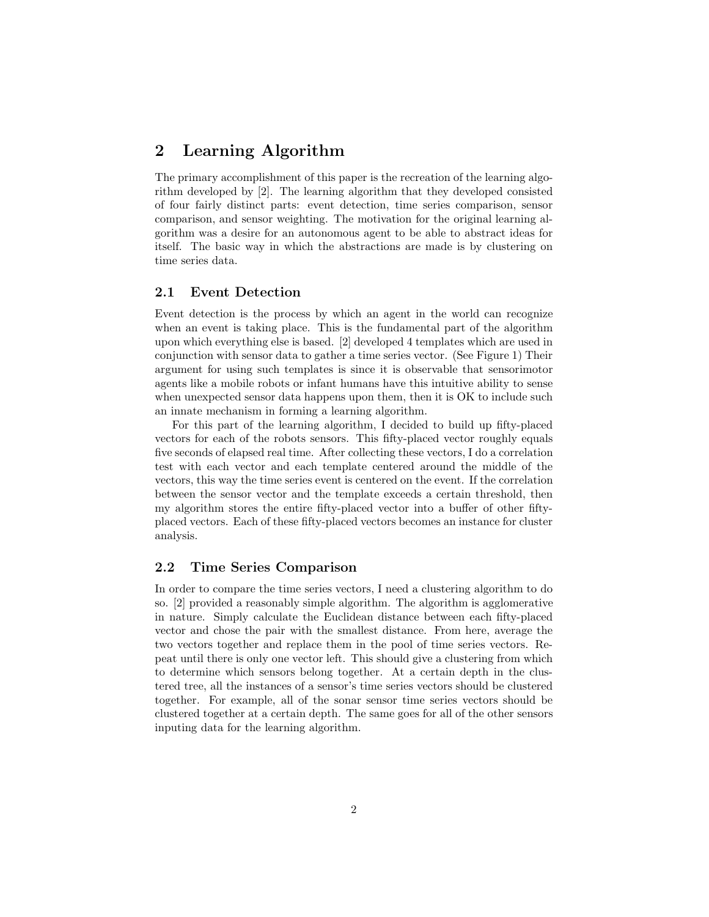### 2 Learning Algorithm

The primary accomplishment of this paper is the recreation of the learning algorithm developed by [2]. The learning algorithm that they developed consisted of four fairly distinct parts: event detection, time series comparison, sensor comparison, and sensor weighting. The motivation for the original learning algorithm was a desire for an autonomous agent to be able to abstract ideas for itself. The basic way in which the abstractions are made is by clustering on time series data.

#### 2.1 Event Detection

Event detection is the process by which an agent in the world can recognize when an event is taking place. This is the fundamental part of the algorithm upon which everything else is based. [2] developed 4 templates which are used in conjunction with sensor data to gather a time series vector. (See Figure 1) Their argument for using such templates is since it is observable that sensorimotor agents like a mobile robots or infant humans have this intuitive ability to sense when unexpected sensor data happens upon them, then it is OK to include such an innate mechanism in forming a learning algorithm.

For this part of the learning algorithm, I decided to build up fifty-placed vectors for each of the robots sensors. This fifty-placed vector roughly equals five seconds of elapsed real time. After collecting these vectors, I do a correlation test with each vector and each template centered around the middle of the vectors, this way the time series event is centered on the event. If the correlation between the sensor vector and the template exceeds a certain threshold, then my algorithm stores the entire fifty-placed vector into a buffer of other fiftyplaced vectors. Each of these fifty-placed vectors becomes an instance for cluster analysis.

#### 2.2 Time Series Comparison

In order to compare the time series vectors, I need a clustering algorithm to do so. [2] provided a reasonably simple algorithm. The algorithm is agglomerative in nature. Simply calculate the Euclidean distance between each fifty-placed vector and chose the pair with the smallest distance. From here, average the two vectors together and replace them in the pool of time series vectors. Repeat until there is only one vector left. This should give a clustering from which to determine which sensors belong together. At a certain depth in the clustered tree, all the instances of a sensor's time series vectors should be clustered together. For example, all of the sonar sensor time series vectors should be clustered together at a certain depth. The same goes for all of the other sensors inputing data for the learning algorithm.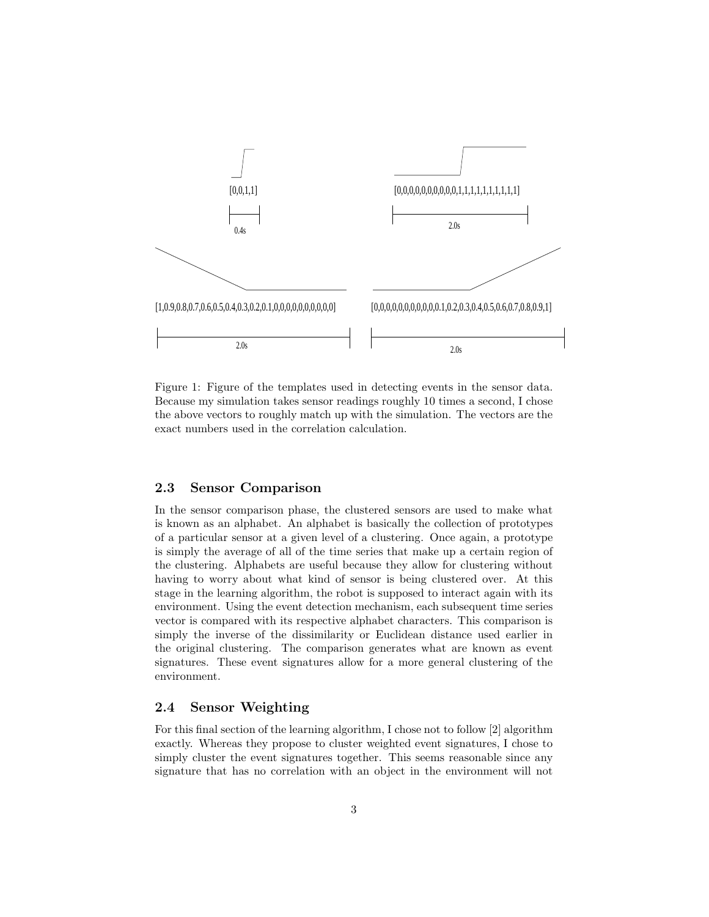

Figure 1: Figure of the templates used in detecting events in the sensor data. Because my simulation takes sensor readings roughly 10 times a second, I chose the above vectors to roughly match up with the simulation. The vectors are the exact numbers used in the correlation calculation.

#### 2.3 Sensor Comparison

In the sensor comparison phase, the clustered sensors are used to make what is known as an alphabet. An alphabet is basically the collection of prototypes of a particular sensor at a given level of a clustering. Once again, a prototype is simply the average of all of the time series that make up a certain region of the clustering. Alphabets are useful because they allow for clustering without having to worry about what kind of sensor is being clustered over. At this stage in the learning algorithm, the robot is supposed to interact again with its environment. Using the event detection mechanism, each subsequent time series vector is compared with its respective alphabet characters. This comparison is simply the inverse of the dissimilarity or Euclidean distance used earlier in the original clustering. The comparison generates what are known as event signatures. These event signatures allow for a more general clustering of the environment.

### 2.4 Sensor Weighting

For this final section of the learning algorithm, I chose not to follow [2] algorithm exactly. Whereas they propose to cluster weighted event signatures, I chose to simply cluster the event signatures together. This seems reasonable since any signature that has no correlation with an object in the environment will not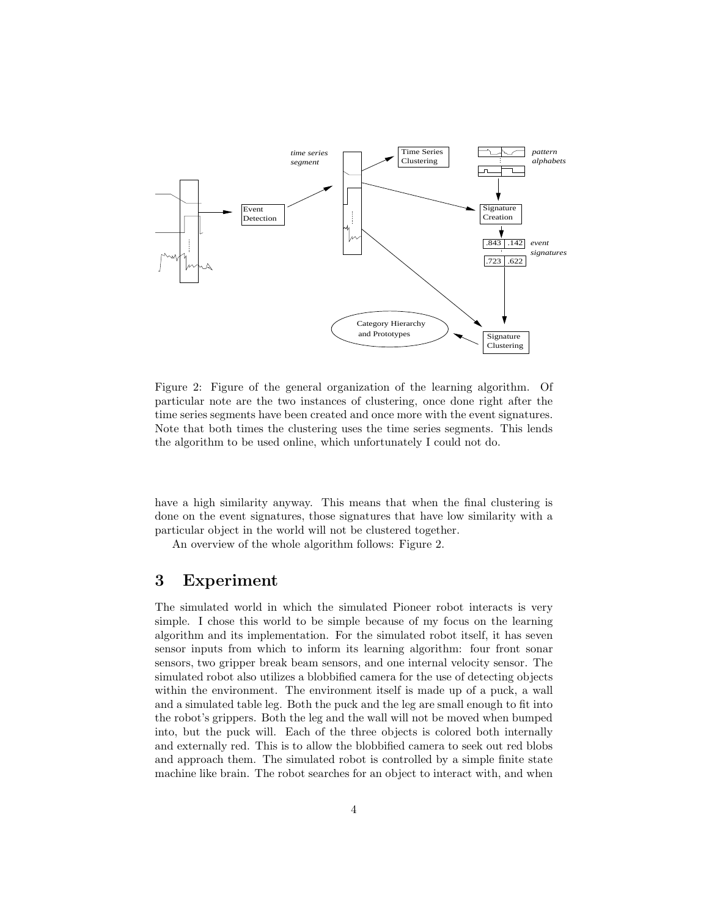

Figure 2: Figure of the general organization of the learning algorithm. Of particular note are the two instances of clustering, once done right after the time series segments have been created and once more with the event signatures. Note that both times the clustering uses the time series segments. This lends the algorithm to be used online, which unfortunately I could not do.

have a high similarity anyway. This means that when the final clustering is done on the event signatures, those signatures that have low similarity with a particular object in the world will not be clustered together.

An overview of the whole algorithm follows: Figure 2.

## 3 Experiment

The simulated world in which the simulated Pioneer robot interacts is very simple. I chose this world to be simple because of my focus on the learning algorithm and its implementation. For the simulated robot itself, it has seven sensor inputs from which to inform its learning algorithm: four front sonar sensors, two gripper break beam sensors, and one internal velocity sensor. The simulated robot also utilizes a blobbified camera for the use of detecting objects within the environment. The environment itself is made up of a puck, a wall and a simulated table leg. Both the puck and the leg are small enough to fit into the robot's grippers. Both the leg and the wall will not be moved when bumped into, but the puck will. Each of the three objects is colored both internally and externally red. This is to allow the blobbified camera to seek out red blobs and approach them. The simulated robot is controlled by a simple finite state machine like brain. The robot searches for an object to interact with, and when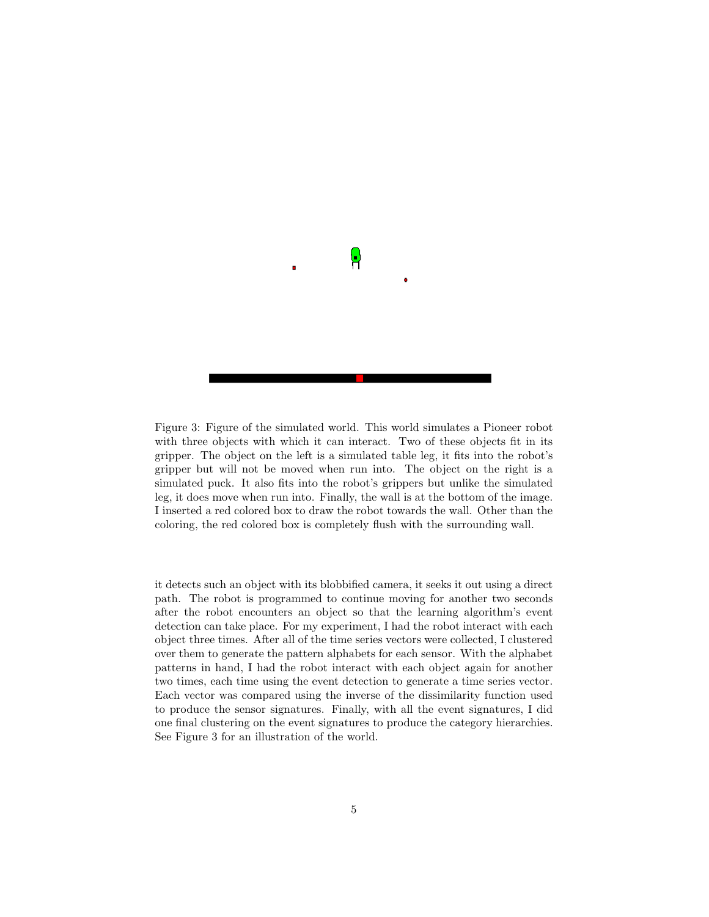

Figure 3: Figure of the simulated world. This world simulates a Pioneer robot with three objects with which it can interact. Two of these objects fit in its gripper. The object on the left is a simulated table leg, it fits into the robot's gripper but will not be moved when run into. The object on the right is a simulated puck. It also fits into the robot's grippers but unlike the simulated leg, it does move when run into. Finally, the wall is at the bottom of the image. I inserted a red colored box to draw the robot towards the wall. Other than the coloring, the red colored box is completely flush with the surrounding wall.

it detects such an object with its blobbified camera, it seeks it out using a direct path. The robot is programmed to continue moving for another two seconds after the robot encounters an object so that the learning algorithm's event detection can take place. For my experiment, I had the robot interact with each object three times. After all of the time series vectors were collected, I clustered over them to generate the pattern alphabets for each sensor. With the alphabet patterns in hand, I had the robot interact with each object again for another two times, each time using the event detection to generate a time series vector. Each vector was compared using the inverse of the dissimilarity function used to produce the sensor signatures. Finally, with all the event signatures, I did one final clustering on the event signatures to produce the category hierarchies. See Figure 3 for an illustration of the world.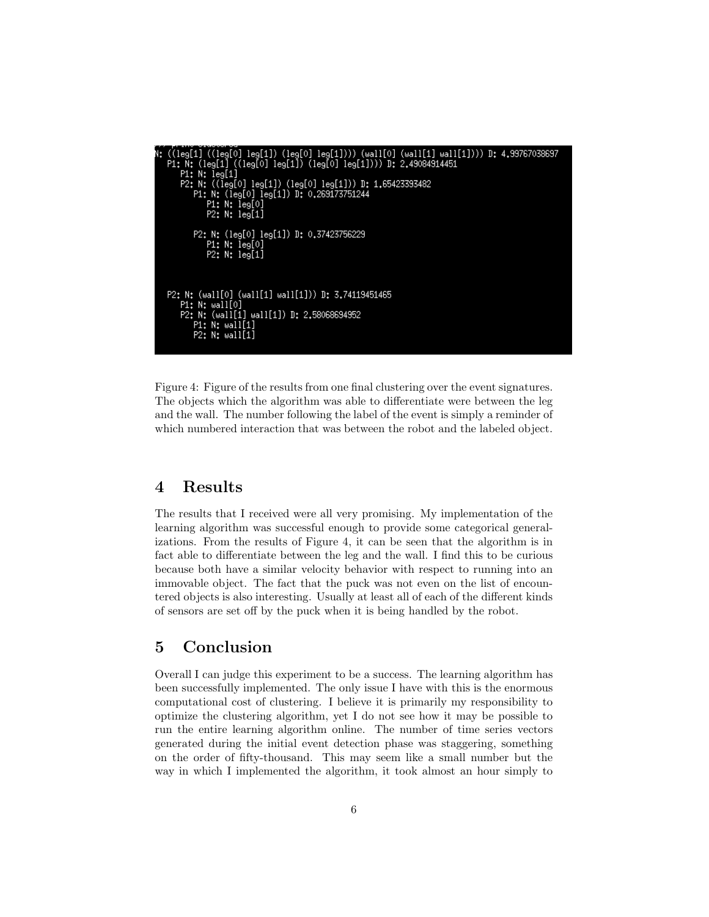```
,<br>0] leg[1]) (leg[0] leg[1]))) (wall[0] (wall[1] wall[1]))) D: 4.99767038697<br>((leg[0] leg[1]) (leg[0] leg[1]))) D: 2.49084914451
              ((leg[0]
      N: (leg[1]N: leg[1]<br>N: ((leg[0]
                             leg[1]) (leg[0] leg[1])) D: 1.65423333482
               N: (leg[0] leg[1]) D: 0.269173751
                         leg[0]
                    N:
                    Nt
                         leq[1]P2: N: (leg[0] leg[1]) D: 0.37423756229
             P1: N: leg[0]<br>P2: N: leg[1]
P2: N: (wall[0] (wall[1] wall[1])) D: 3.74119451465<br>P1: N: wall[0]<br>P2: N: (wall[1] wall[1]) D: 2.58068694952
         P1: N: wall[1]<br>P2: N: wall[1]
```
Figure 4: Figure of the results from one final clustering over the event signatures. The objects which the algorithm was able to differentiate were between the leg and the wall. The number following the label of the event is simply a reminder of which numbered interaction that was between the robot and the labeled object.

### 4 Results

The results that I received were all very promising. My implementation of the learning algorithm was successful enough to provide some categorical generalizations. From the results of Figure 4, it can be seen that the algorithm is in fact able to differentiate between the leg and the wall. I find this to be curious because both have a similar velocity behavior with respect to running into an immovable object. The fact that the puck was not even on the list of encountered objects is also interesting. Usually at least all of each of the different kinds of sensors are set off by the puck when it is being handled by the robot.

## 5 Conclusion

Overall I can judge this experiment to be a success. The learning algorithm has been successfully implemented. The only issue I have with this is the enormous computational cost of clustering. I believe it is primarily my responsibility to optimize the clustering algorithm, yet I do not see how it may be possible to run the entire learning algorithm online. The number of time series vectors generated during the initial event detection phase was staggering, something on the order of fifty-thousand. This may seem like a small number but the way in which I implemented the algorithm, it took almost an hour simply to